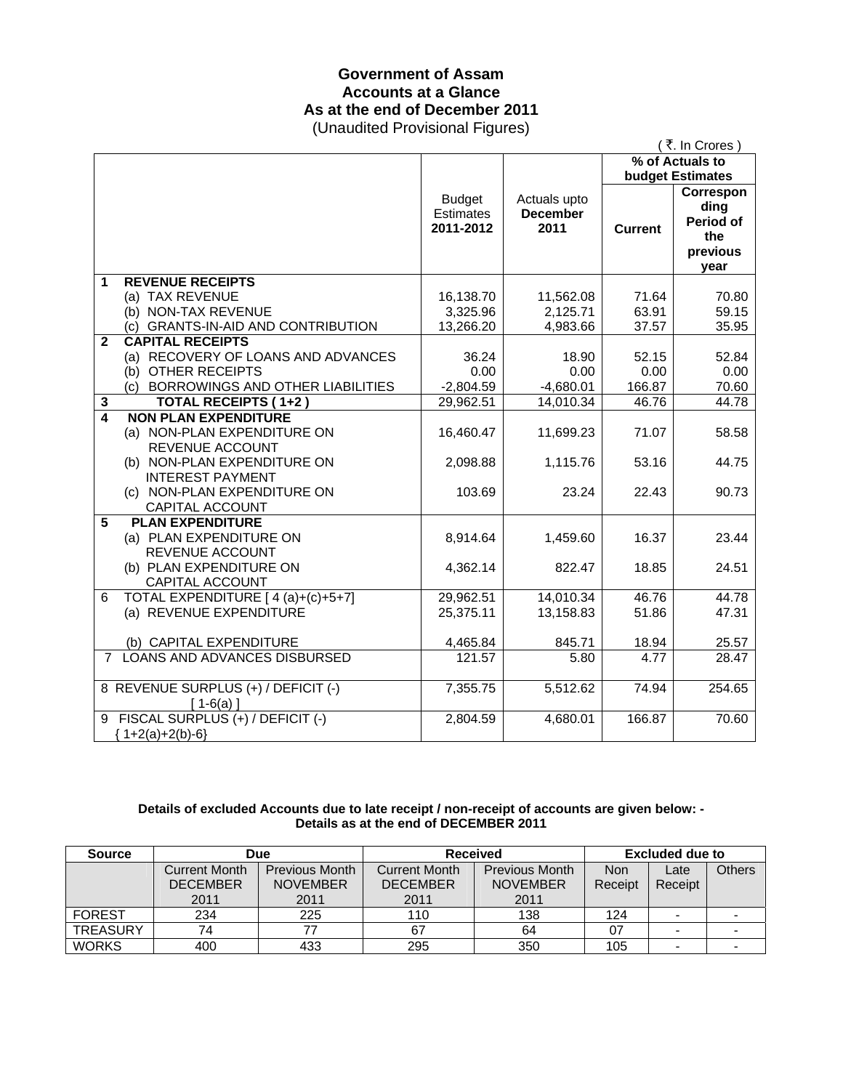# **Government of Assam Accounts at a Glance As at the end of December 2011**

(Unaudited Provisional Figures)

|                |                                                   |                                                |                                         |                 | (₹. In Crores)                                                   |  |
|----------------|---------------------------------------------------|------------------------------------------------|-----------------------------------------|-----------------|------------------------------------------------------------------|--|
|                |                                                   |                                                |                                         | % of Actuals to |                                                                  |  |
|                |                                                   | <b>Budget</b><br><b>Estimates</b><br>2011-2012 | Actuals upto<br><b>December</b><br>2011 | <b>Current</b>  | <b>budget Estimates</b><br>Correspon<br>ding<br>Period of<br>the |  |
|                |                                                   |                                                |                                         |                 | previous<br>year                                                 |  |
| 1              | <b>REVENUE RECEIPTS</b>                           |                                                |                                         |                 |                                                                  |  |
|                | (a) TAX REVENUE                                   | 16,138.70                                      | 11,562.08                               | 71.64           | 70.80                                                            |  |
|                | (b) NON-TAX REVENUE                               | 3,325.96                                       | 2,125.71                                | 63.91           | 59.15                                                            |  |
|                | (c) GRANTS-IN-AID AND CONTRIBUTION                | 13,266.20                                      | 4,983.66                                | 37.57           | 35.95                                                            |  |
| $\mathbf{2}$   | <b>CAPITAL RECEIPTS</b>                           |                                                |                                         |                 |                                                                  |  |
|                | (a) RECOVERY OF LOANS AND ADVANCES                | 36.24                                          | 18.90                                   | 52.15           | 52.84                                                            |  |
|                | (b) OTHER RECEIPTS                                | 0.00                                           | 0.00                                    | 0.00            | 0.00                                                             |  |
|                | (c) BORROWINGS AND OTHER LIABILITIES              | $-2,804.59$                                    | $-4,680.01$                             | 166.87          | 70.60                                                            |  |
| 3              | <b>TOTAL RECEIPTS (1+2)</b>                       | 29,962.51                                      | 14,010.34                               | 46.76           | 44.78                                                            |  |
| $\overline{4}$ | <b>NON PLAN EXPENDITURE</b>                       |                                                |                                         |                 |                                                                  |  |
|                | (a) NON-PLAN EXPENDITURE ON                       | 16,460.47                                      | 11,699.23                               | 71.07           | 58.58                                                            |  |
|                | REVENUE ACCOUNT                                   |                                                |                                         |                 |                                                                  |  |
|                | (b) NON-PLAN EXPENDITURE ON                       | 2,098.88                                       | 1,115.76                                | 53.16           | 44.75                                                            |  |
|                | <b>INTEREST PAYMENT</b>                           |                                                |                                         |                 |                                                                  |  |
|                | (c) NON-PLAN EXPENDITURE ON                       | 103.69                                         | 23.24                                   | 22.43           | 90.73                                                            |  |
|                | CAPITAL ACCOUNT                                   |                                                |                                         |                 |                                                                  |  |
| 5              | <b>PLAN EXPENDITURE</b>                           |                                                |                                         | 16.37           | 23.44                                                            |  |
|                | (a) PLAN EXPENDITURE ON<br><b>REVENUE ACCOUNT</b> | 8,914.64                                       | 1,459.60                                |                 |                                                                  |  |
|                | (b) PLAN EXPENDITURE ON                           | 4,362.14                                       | 822.47                                  | 18.85           | 24.51                                                            |  |
|                | CAPITAL ACCOUNT                                   |                                                |                                         |                 |                                                                  |  |
| 6              | TOTAL EXPENDITURE [4(a)+(c)+5+7]                  | 29,962.51                                      | 14,010.34                               | 46.76           | 44.78                                                            |  |
|                | (a) REVENUE EXPENDITURE                           | 25,375.11                                      | 13,158.83                               | 51.86           | 47.31                                                            |  |
|                |                                                   |                                                |                                         |                 |                                                                  |  |
|                | (b) CAPITAL EXPENDITURE                           | 4,465.84                                       | 845.71                                  | 18.94           | 25.57                                                            |  |
| $7^{\circ}$    | LOANS AND ADVANCES DISBURSED                      | 121.57                                         | 5.80                                    | 4.77            | 28.47                                                            |  |
|                |                                                   |                                                |                                         |                 |                                                                  |  |
|                | 8 REVENUE SURPLUS (+) / DEFICIT (-)               | 7,355.75                                       | 5,512.62                                | 74.94           | 254.65                                                           |  |
|                | $[1-6(a)]$                                        |                                                |                                         |                 |                                                                  |  |
|                | 9 FISCAL SURPLUS (+) / DEFICIT (-)                | 2,804.59                                       | 4,680.01                                | 166.87          | 70.60                                                            |  |
|                | ${1+2(a)+2(b)-6}$                                 |                                                |                                         |                 |                                                                  |  |

#### **Details of excluded Accounts due to late receipt / non-receipt of accounts are given below: - Details as at the end of DECEMBER 2011**

| <b>Source</b>   | <b>Due</b>           |                       | <b>Received</b> |                       | Excluded due to |                          |               |
|-----------------|----------------------|-----------------------|-----------------|-----------------------|-----------------|--------------------------|---------------|
|                 | <b>Current Month</b> | <b>Previous Month</b> | Current Month   | <b>Previous Month</b> | <b>Non</b>      | Late                     | <b>Others</b> |
|                 | <b>DECEMBER</b>      | <b>NOVEMBER</b>       | <b>DECEMBER</b> | <b>NOVEMBER</b>       | Receipt         | Receipt                  |               |
|                 | 2011                 | 2011                  | 2011            | 2011                  |                 |                          |               |
| <b>FOREST</b>   | 234                  | 225                   | 110             | 138                   | 124             | $\overline{\phantom{0}}$ |               |
| <b>TREASURY</b> | 74                   | 77                    | 67              | 64                    |                 |                          |               |
| <b>WORKS</b>    | 400                  | 433                   | 295             | 350                   | 105             |                          |               |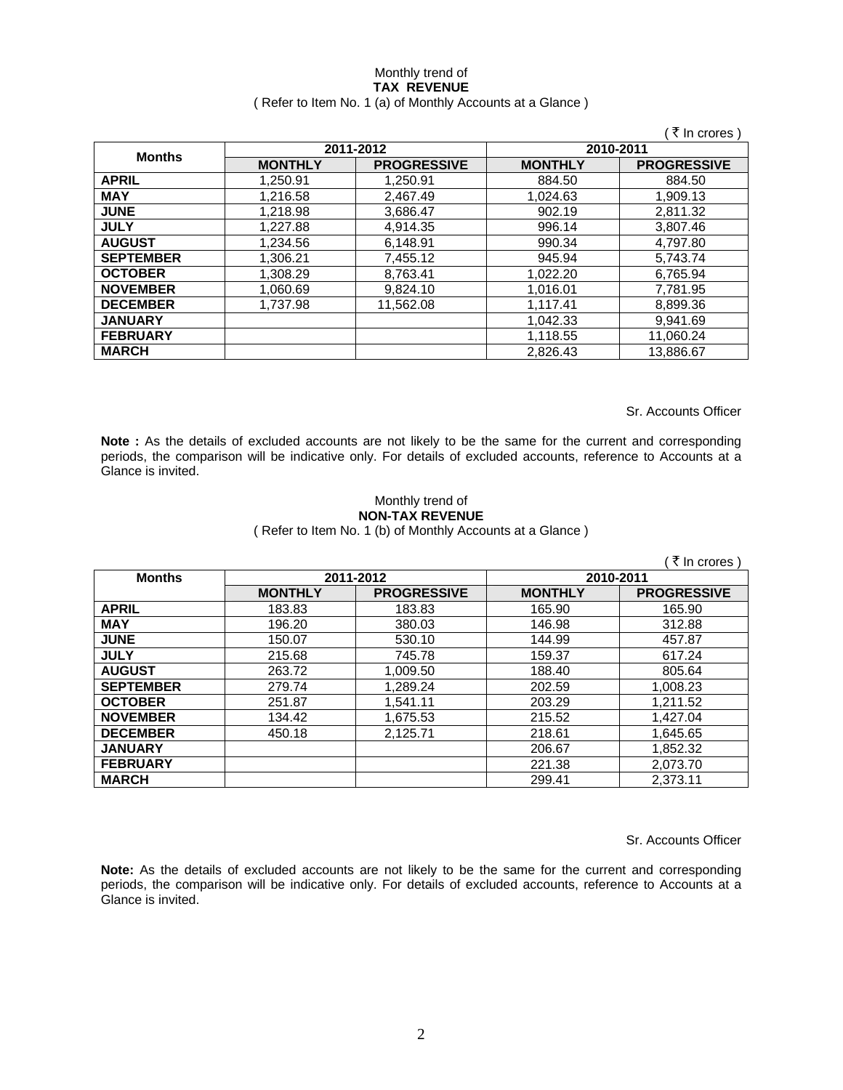#### Monthly trend of **TAX REVENUE**  ( Refer to Item No. 1 (a) of Monthly Accounts at a Glance )

|                  |                |                    |                | ∶₹ In crores )     |
|------------------|----------------|--------------------|----------------|--------------------|
|                  |                | 2011-2012          | 2010-2011      |                    |
| <b>Months</b>    | <b>MONTHLY</b> | <b>PROGRESSIVE</b> | <b>MONTHLY</b> | <b>PROGRESSIVE</b> |
| <b>APRIL</b>     | 1.250.91       | 1.250.91           | 884.50         | 884.50             |
| <b>MAY</b>       | 1.216.58       | 2.467.49           | 1.024.63       | 1.909.13           |
| <b>JUNE</b>      | 1.218.98       | 3,686.47           | 902.19         | 2,811.32           |
| <b>JULY</b>      | 1,227.88       | 4,914.35           | 996.14         | 3,807.46           |
| <b>AUGUST</b>    | 1,234.56       | 6,148.91           | 990.34         | 4,797.80           |
| <b>SEPTEMBER</b> | 1,306.21       | 7,455.12           | 945.94         | 5,743.74           |
| <b>OCTOBER</b>   | 1,308.29       | 8,763.41           | 1,022.20       | 6,765.94           |
| <b>NOVEMBER</b>  | 1,060.69       | 9,824.10           | 1,016.01       | 7,781.95           |
| <b>DECEMBER</b>  | 1.737.98       | 11.562.08          | 1,117.41       | 8,899.36           |
| <b>JANUARY</b>   |                |                    | 1.042.33       | 9.941.69           |
| <b>FEBRUARY</b>  |                |                    | 1,118.55       | 11,060.24          |
| <b>MARCH</b>     |                |                    | 2,826.43       | 13.886.67          |

Sr. Accounts Officer

**Note :** As the details of excluded accounts are not likely to be the same for the current and corresponding periods, the comparison will be indicative only. For details of excluded accounts, reference to Accounts at a Glance is invited.

### Monthly trend of **NON-TAX REVENUE**

( Refer to Item No. 1 (b) of Monthly Accounts at a Glance )

|                  |                |                    |                | ₹ In crores )      |
|------------------|----------------|--------------------|----------------|--------------------|
| <b>Months</b>    | 2011-2012      |                    |                | 2010-2011          |
|                  | <b>MONTHLY</b> | <b>PROGRESSIVE</b> | <b>MONTHLY</b> | <b>PROGRESSIVE</b> |
| <b>APRIL</b>     | 183.83         | 183.83             | 165.90         | 165.90             |
| <b>MAY</b>       | 196.20         | 380.03             | 146.98         | 312.88             |
| <b>JUNE</b>      | 150.07         | 530.10             | 144.99         | 457.87             |
| <b>JULY</b>      | 215.68         | 745.78             | 159.37         | 617.24             |
| <b>AUGUST</b>    | 263.72         | 1,009.50           | 188.40         | 805.64             |
| <b>SEPTEMBER</b> | 279.74         | 1,289.24           | 202.59         | 1.008.23           |
| <b>OCTOBER</b>   | 251.87         | 1,541.11           | 203.29         | 1,211.52           |
| <b>NOVEMBER</b>  | 134.42         | 1,675.53           | 215.52         | 1,427.04           |
| <b>DECEMBER</b>  | 450.18         | 2,125.71           | 218.61         | 1,645.65           |
| <b>JANUARY</b>   |                |                    | 206.67         | 1,852.32           |
| <b>FEBRUARY</b>  |                |                    | 221.38         | 2,073.70           |
| <b>MARCH</b>     |                |                    | 299.41         | 2,373.11           |

Sr. Accounts Officer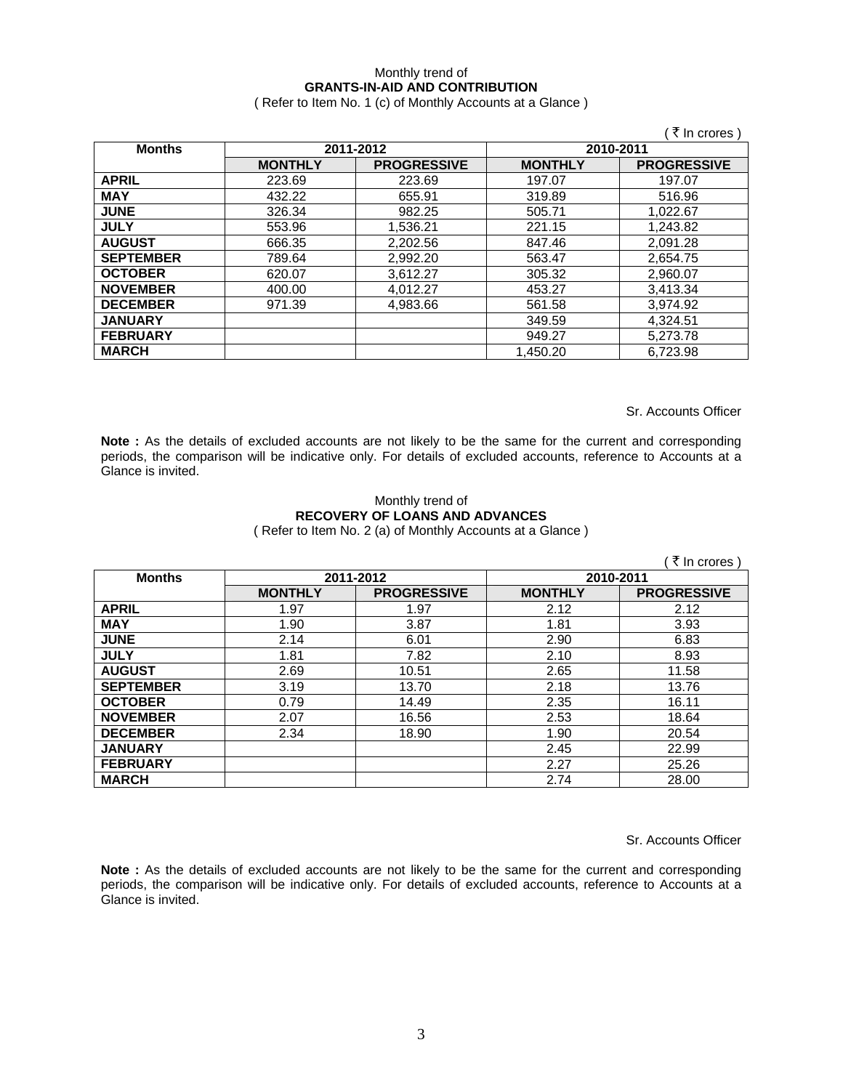## Monthly trend of **GRANTS-IN-AID AND CONTRIBUTION**

( Refer to Item No. 1 (c) of Monthly Accounts at a Glance )

|                  |                |                    |                | ₹ In crores        |
|------------------|----------------|--------------------|----------------|--------------------|
| <b>Months</b>    |                | 2011-2012          | 2010-2011      |                    |
|                  | <b>MONTHLY</b> | <b>PROGRESSIVE</b> | <b>MONTHLY</b> | <b>PROGRESSIVE</b> |
| <b>APRIL</b>     | 223.69         | 223.69             | 197.07         | 197.07             |
| <b>MAY</b>       | 432.22         | 655.91             | 319.89         | 516.96             |
| <b>JUNE</b>      | 326.34         | 982.25             | 505.71         | 1,022.67           |
| <b>JULY</b>      | 553.96         | 1,536.21           | 221.15         | 1,243.82           |
| <b>AUGUST</b>    | 666.35         | 2,202.56           | 847.46         | 2,091.28           |
| <b>SEPTEMBER</b> | 789.64         | 2,992.20           | 563.47         | 2,654.75           |
| <b>OCTOBER</b>   | 620.07         | 3,612.27           | 305.32         | 2,960.07           |
| <b>NOVEMBER</b>  | 400.00         | 4,012.27           | 453.27         | 3,413.34           |
| <b>DECEMBER</b>  | 971.39         | 4,983.66           | 561.58         | 3,974.92           |
| <b>JANUARY</b>   |                |                    | 349.59         | 4,324.51           |
| <b>FEBRUARY</b>  |                |                    | 949.27         | 5,273.78           |
| <b>MARCH</b>     |                |                    | 1.450.20       | 6.723.98           |

Sr. Accounts Officer

**Note :** As the details of excluded accounts are not likely to be the same for the current and corresponding periods, the comparison will be indicative only. For details of excluded accounts, reference to Accounts at a Glance is invited.

#### Monthly trend of **RECOVERY OF LOANS AND ADVANCES**  ( Refer to Item No. 2 (a) of Monthly Accounts at a Glance )

|                  |                |                    |                | ₹ In crores)       |
|------------------|----------------|--------------------|----------------|--------------------|
| <b>Months</b>    |                | 2011-2012          | 2010-2011      |                    |
|                  | <b>MONTHLY</b> | <b>PROGRESSIVE</b> | <b>MONTHLY</b> | <b>PROGRESSIVE</b> |
| <b>APRIL</b>     | 1.97           | 1.97               | 2.12           | 2.12               |
| <b>MAY</b>       | 1.90           | 3.87               | 1.81           | 3.93               |
| <b>JUNE</b>      | 2.14           | 6.01               | 2.90           | 6.83               |
| <b>JULY</b>      | 1.81           | 7.82               | 2.10           | 8.93               |
| <b>AUGUST</b>    | 2.69           | 10.51              | 2.65           | 11.58              |
| <b>SEPTEMBER</b> | 3.19           | 13.70              | 2.18           | 13.76              |
| <b>OCTOBER</b>   | 0.79           | 14.49              | 2.35           | 16.11              |
| <b>NOVEMBER</b>  | 2.07           | 16.56              | 2.53           | 18.64              |
| <b>DECEMBER</b>  | 2.34           | 18.90              | 1.90           | 20.54              |
| <b>JANUARY</b>   |                |                    | 2.45           | 22.99              |
| <b>FEBRUARY</b>  |                |                    | 2.27           | 25.26              |
| <b>MARCH</b>     |                |                    | 2.74           | 28.00              |

Sr. Accounts Officer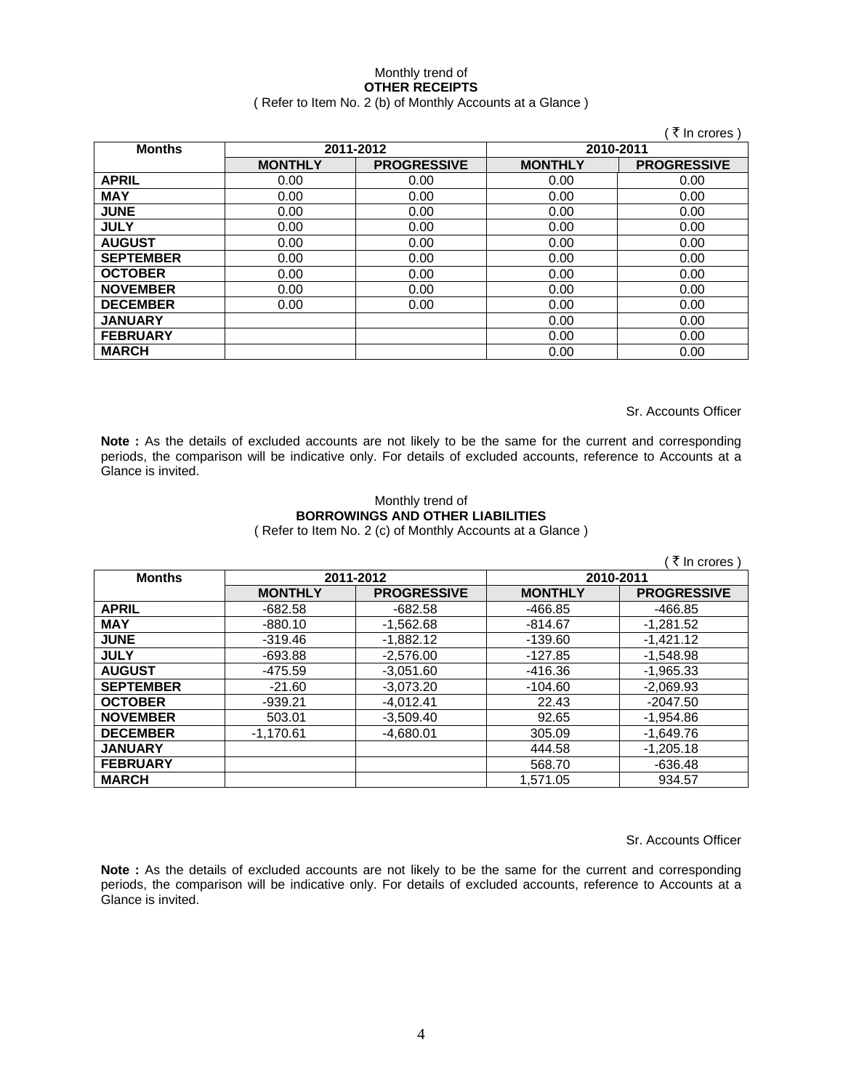#### Monthly trend of **OTHER RECEIPTS**  ( Refer to Item No. 2 (b) of Monthly Accounts at a Glance )

|                  |                |                    |                | ∶₹ In crores )     |
|------------------|----------------|--------------------|----------------|--------------------|
| <b>Months</b>    |                | 2011-2012          | 2010-2011      |                    |
|                  | <b>MONTHLY</b> | <b>PROGRESSIVE</b> | <b>MONTHLY</b> | <b>PROGRESSIVE</b> |
| <b>APRIL</b>     | 0.00           | 0.00               | 0.00           | 0.00               |
| <b>MAY</b>       | 0.00           | 0.00               | 0.00           | 0.00               |
| <b>JUNE</b>      | 0.00           | 0.00               | 0.00           | 0.00               |
| <b>JULY</b>      | 0.00           | 0.00               | 0.00           | 0.00               |
| <b>AUGUST</b>    | 0.00           | 0.00               | 0.00           | 0.00               |
| <b>SEPTEMBER</b> | 0.00           | 0.00               | 0.00           | 0.00               |
| <b>OCTOBER</b>   | 0.00           | 0.00               | 0.00           | 0.00               |
| <b>NOVEMBER</b>  | 0.00           | 0.00               | 0.00           | 0.00               |
| <b>DECEMBER</b>  | 0.00           | 0.00               | 0.00           | 0.00               |
| <b>JANUARY</b>   |                |                    | 0.00           | 0.00               |
| <b>FEBRUARY</b>  |                |                    | 0.00           | 0.00               |
| <b>MARCH</b>     |                |                    | 0.00           | 0.00               |

Sr. Accounts Officer

Note : As the details of excluded accounts are not likely to be the same for the current and corresponding periods, the comparison will be indicative only. For details of excluded accounts, reference to Accounts at a Glance is invited.

## Monthly trend of **BORROWINGS AND OTHER LIABILITIES**

( Refer to Item No. 2 (c) of Monthly Accounts at a Glance )

|                  |                |                    |                | ्रे In crores )    |
|------------------|----------------|--------------------|----------------|--------------------|
| <b>Months</b>    | 2011-2012      |                    |                | 2010-2011          |
|                  | <b>MONTHLY</b> | <b>PROGRESSIVE</b> | <b>MONTHLY</b> | <b>PROGRESSIVE</b> |
| <b>APRIL</b>     | $-682.58$      | $-682.58$          | -466.85        | -466.85            |
| <b>MAY</b>       | $-880.10$      | $-1,562.68$        | $-814.67$      | $-1,281.52$        |
| <b>JUNE</b>      | $-319.46$      | $-1.882.12$        | $-139.60$      | $-1,421.12$        |
| <b>JULY</b>      | $-693.88$      | $-2.576.00$        | -127.85        | $-1.548.98$        |
| <b>AUGUST</b>    | -475.59        | $-3.051.60$        | -416.36        | $-1.965.33$        |
| <b>SEPTEMBER</b> | $-21.60$       | $-3,073.20$        | $-104.60$      | $-2,069.93$        |
| <b>OCTOBER</b>   | $-939.21$      | $-4,012.41$        | 22.43          | $-2047.50$         |
| <b>NOVEMBER</b>  | 503.01         | $-3,509.40$        | 92.65          | $-1,954.86$        |
| <b>DECEMBER</b>  | $-1.170.61$    | $-4.680.01$        | 305.09         | $-1,649.76$        |
| <b>JANUARY</b>   |                |                    | 444.58         | $-1,205.18$        |
| <b>FEBRUARY</b>  |                |                    | 568.70         | $-636.48$          |
| <b>MARCH</b>     |                |                    | 1.571.05       | 934.57             |

Sr. Accounts Officer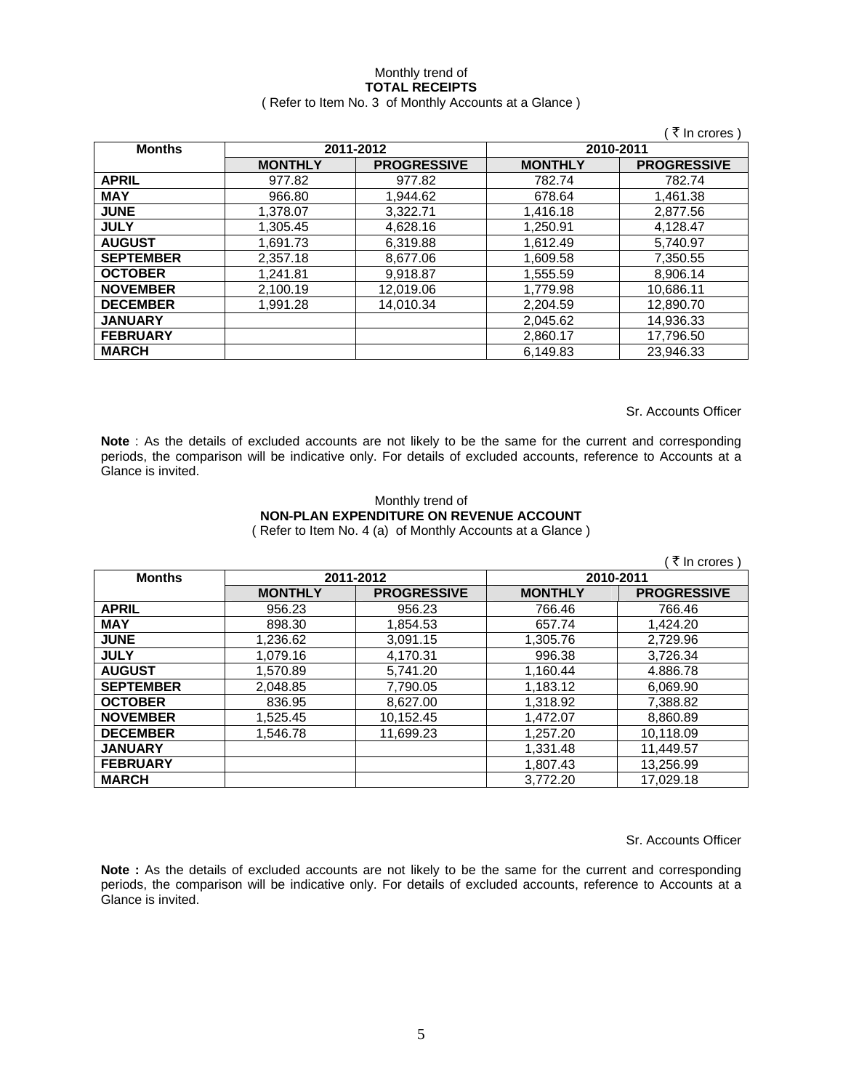#### Monthly trend of **TOTAL RECEIPTS**  ( Refer to Item No. 3 of Monthly Accounts at a Glance )

|                  |                |                    |                | ं ₹ In crores )    |  |
|------------------|----------------|--------------------|----------------|--------------------|--|
| <b>Months</b>    | 2011-2012      |                    |                | 2010-2011          |  |
|                  | <b>MONTHLY</b> | <b>PROGRESSIVE</b> | <b>MONTHLY</b> | <b>PROGRESSIVE</b> |  |
| <b>APRIL</b>     | 977.82         | 977.82             | 782.74         | 782.74             |  |
| <b>MAY</b>       | 966.80         | 1,944.62           | 678.64         | 1,461.38           |  |
| <b>JUNE</b>      | 1,378.07       | 3,322.71           | 1,416.18       | 2,877.56           |  |
| <b>JULY</b>      | 1.305.45       | 4.628.16           | 1,250.91       | 4.128.47           |  |
| <b>AUGUST</b>    | 1.691.73       | 6.319.88           | 1.612.49       | 5.740.97           |  |
| <b>SEPTEMBER</b> | 2.357.18       | 8,677.06           | 1,609.58       | 7.350.55           |  |
| <b>OCTOBER</b>   | 1,241.81       | 9,918.87           | 1,555.59       | 8,906.14           |  |
| <b>NOVEMBER</b>  | 2,100.19       | 12,019.06          | 1,779.98       | 10,686.11          |  |
| <b>DECEMBER</b>  | 1.991.28       | 14,010.34          | 2,204.59       | 12,890.70          |  |
| <b>JANUARY</b>   |                |                    | 2,045.62       | 14,936.33          |  |
| <b>FEBRUARY</b>  |                |                    | 2,860.17       | 17,796.50          |  |
| <b>MARCH</b>     |                |                    | 6,149.83       | 23,946.33          |  |

Sr. Accounts Officer

**Note** : As the details of excluded accounts are not likely to be the same for the current and corresponding periods, the comparison will be indicative only. For details of excluded accounts, reference to Accounts at a Glance is invited.

#### Monthly trend of **NON-PLAN EXPENDITURE ON REVENUE ACCOUNT**  ( Refer to Item No. 4 (a) of Monthly Accounts at a Glance )

( $\bar{\tau}$  In crores) **Months 2011-2012 2010-2011 MONTHLY PROGRESSIVE MONTHLY PROGRESSIVE APRIL** 956.23 956.23 766.46 766.46 **MAY** | 898.30 1,854.53 657.74 1,424.20 **JUNE** 1,236.62 3,091.15 1,305.76 2,729.96 **JULY** 1,079.16 4,170.31 996.38 3,726.34 **AUGUST** 1,570.89 5,741.20 1,160.44 4.886.78 **SEPTEMBER** | 2,048.85 | 7,790.05 | 1,183.12 | 6,069.90 **OCTOBER** | 836.95 | 8,627.00 | 1,318.92 | 7,388.82 **NOVEMBER** | 1,525.45 | 10,152.45 | 1,472.07 | 8,860.89 **DECEMBER 1,546.78 11,699.23 1,257.20 10,118.09**<br>**JANUARY** 1,331.48 11,449.57 **JANUARY** 1,331.48 11,449.57 **FEBRUARY 1,807.43** 13,256.99 **MARCH** 3,772.20 17,029.18

Sr. Accounts Officer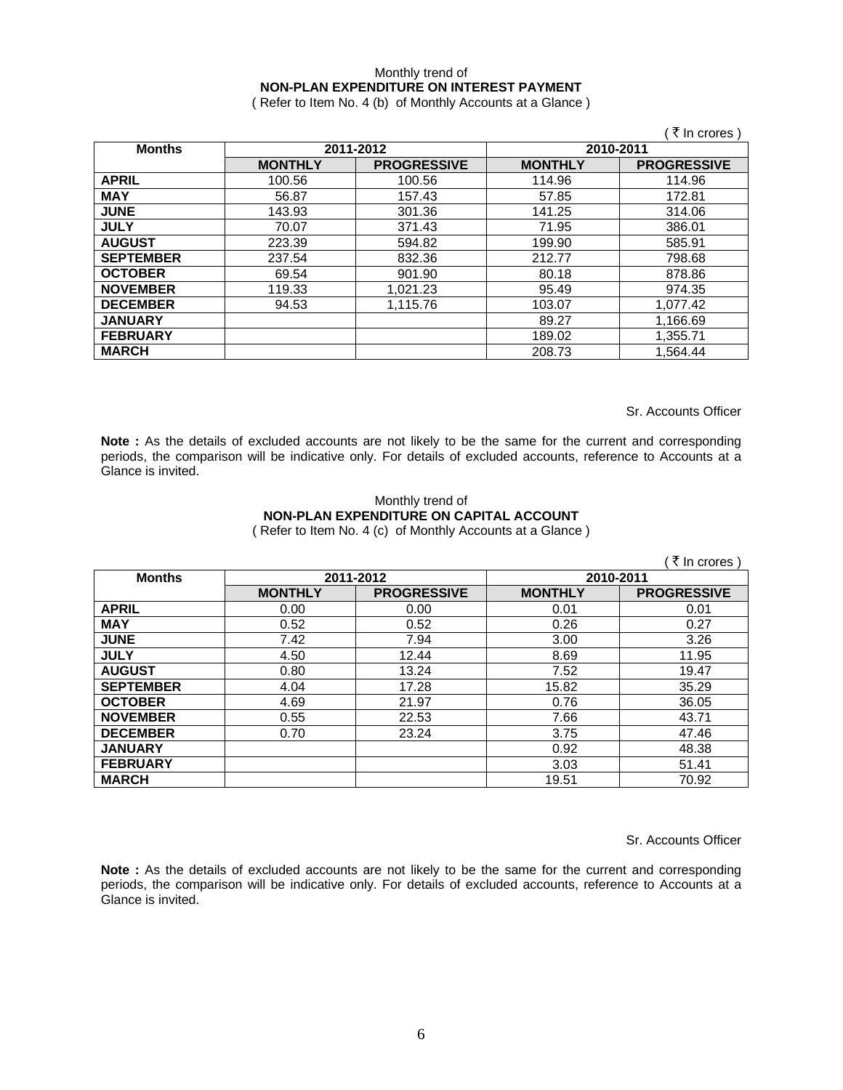## Monthly trend of **NON-PLAN EXPENDITURE ON INTEREST PAYMENT**

( Refer to Item No. 4 (b) of Monthly Accounts at a Glance )

|                  |                |                    |                | ़ ₹ In crores )    |
|------------------|----------------|--------------------|----------------|--------------------|
| <b>Months</b>    |                | 2011-2012          | 2010-2011      |                    |
|                  | <b>MONTHLY</b> | <b>PROGRESSIVE</b> | <b>MONTHLY</b> | <b>PROGRESSIVE</b> |
| <b>APRIL</b>     | 100.56         | 100.56             | 114.96         | 114.96             |
| <b>MAY</b>       | 56.87          | 157.43             | 57.85          | 172.81             |
| <b>JUNE</b>      | 143.93         | 301.36             | 141.25         | 314.06             |
| <b>JULY</b>      | 70.07          | 371.43             | 71.95          | 386.01             |
| <b>AUGUST</b>    | 223.39         | 594.82             | 199.90         | 585.91             |
| <b>SEPTEMBER</b> | 237.54         | 832.36             | 212.77         | 798.68             |
| <b>OCTOBER</b>   | 69.54          | 901.90             | 80.18          | 878.86             |
| <b>NOVEMBER</b>  | 119.33         | 1,021.23           | 95.49          | 974.35             |
| <b>DECEMBER</b>  | 94.53          | 1,115.76           | 103.07         | 1,077.42           |
| <b>JANUARY</b>   |                |                    | 89.27          | 1,166.69           |
| <b>FEBRUARY</b>  |                |                    | 189.02         | 1,355.71           |
| <b>MARCH</b>     |                |                    | 208.73         | 1,564.44           |

Sr. Accounts Officer

Note : As the details of excluded accounts are not likely to be the same for the current and corresponding periods, the comparison will be indicative only. For details of excluded accounts, reference to Accounts at a Glance is invited.

#### Monthly trend of **NON-PLAN EXPENDITURE ON CAPITAL ACCOUNT**  ( Refer to Item No. 4 (c) of Monthly Accounts at a Glance )

|                  |                |                    |                | ( ₹ In crores)     |
|------------------|----------------|--------------------|----------------|--------------------|
| <b>Months</b>    | 2011-2012      |                    | 2010-2011      |                    |
|                  | <b>MONTHLY</b> | <b>PROGRESSIVE</b> | <b>MONTHLY</b> | <b>PROGRESSIVE</b> |
| <b>APRIL</b>     | 0.00           | 0.00               | 0.01           | 0.01               |
| <b>MAY</b>       | 0.52           | 0.52               | 0.26           | 0.27               |
| <b>JUNE</b>      | 7.42           | 7.94               | 3.00           | 3.26               |
| <b>JULY</b>      | 4.50           | 12.44              | 8.69           | 11.95              |
| <b>AUGUST</b>    | 0.80           | 13.24              | 7.52           | 19.47              |
| <b>SEPTEMBER</b> | 4.04           | 17.28              | 15.82          | 35.29              |
| <b>OCTOBER</b>   | 4.69           | 21.97              | 0.76           | 36.05              |
| <b>NOVEMBER</b>  | 0.55           | 22.53              | 7.66           | 43.71              |
| <b>DECEMBER</b>  | 0.70           | 23.24              | 3.75           | 47.46              |
| <b>JANUARY</b>   |                |                    | 0.92           | 48.38              |
| <b>FEBRUARY</b>  |                |                    | 3.03           | 51.41              |
| <b>MARCH</b>     |                |                    | 19.51          | 70.92              |

Sr. Accounts Officer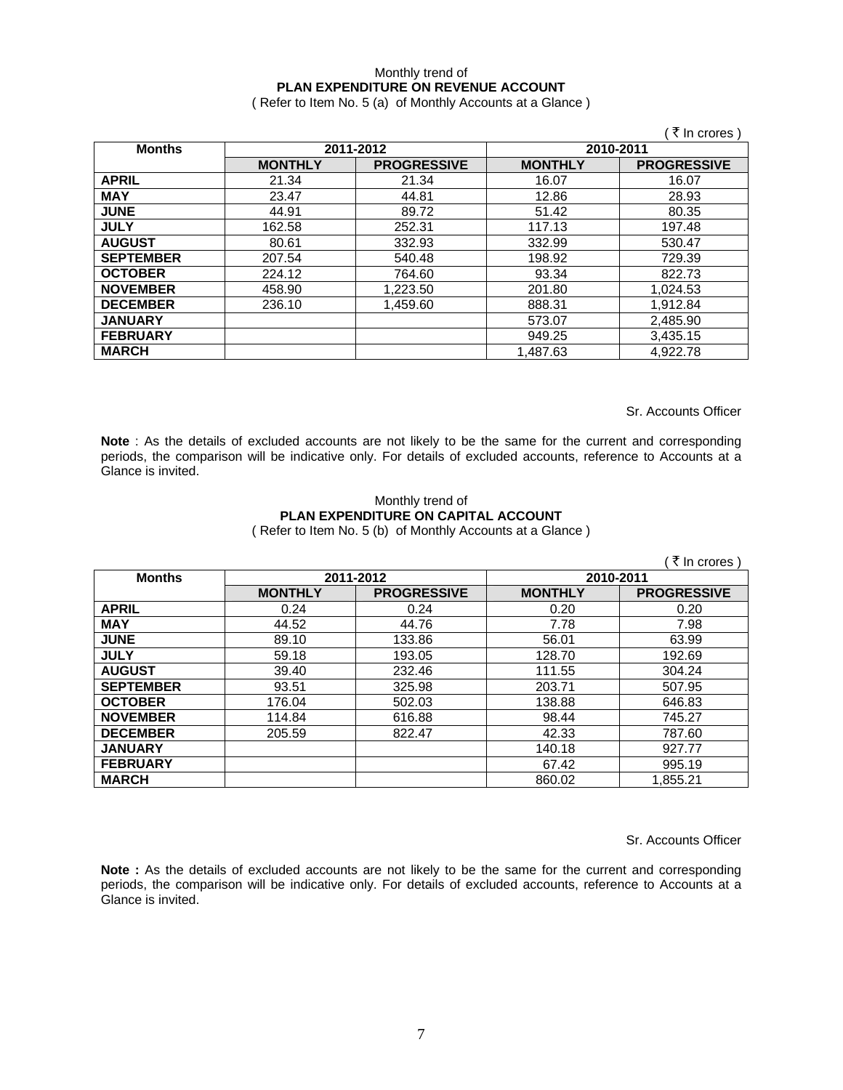## Monthly trend of **PLAN EXPENDITURE ON REVENUE ACCOUNT**

( Refer to Item No. 5 (a) of Monthly Accounts at a Glance )

|                  |                |                    |                | ं रे In crores )   |
|------------------|----------------|--------------------|----------------|--------------------|
| <b>Months</b>    |                | 2011-2012          | 2010-2011      |                    |
|                  | <b>MONTHLY</b> | <b>PROGRESSIVE</b> | <b>MONTHLY</b> | <b>PROGRESSIVE</b> |
| <b>APRIL</b>     | 21.34          | 21.34              | 16.07          | 16.07              |
| <b>MAY</b>       | 23.47          | 44.81              | 12.86          | 28.93              |
| <b>JUNE</b>      | 44.91          | 89.72              | 51.42          | 80.35              |
| <b>JULY</b>      | 162.58         | 252.31             | 117.13         | 197.48             |
| <b>AUGUST</b>    | 80.61          | 332.93             | 332.99         | 530.47             |
| <b>SEPTEMBER</b> | 207.54         | 540.48             | 198.92         | 729.39             |
| <b>OCTOBER</b>   | 224.12         | 764.60             | 93.34          | 822.73             |
| <b>NOVEMBER</b>  | 458.90         | 1,223.50           | 201.80         | 1,024.53           |
| <b>DECEMBER</b>  | 236.10         | 1,459.60           | 888.31         | 1,912.84           |
| <b>JANUARY</b>   |                |                    | 573.07         | 2,485.90           |
| <b>FEBRUARY</b>  |                |                    | 949.25         | 3,435.15           |
| <b>MARCH</b>     |                |                    | 1,487.63       | 4,922.78           |

Sr. Accounts Officer

**Note** : As the details of excluded accounts are not likely to be the same for the current and corresponding periods, the comparison will be indicative only. For details of excluded accounts, reference to Accounts at a Glance is invited.

#### Monthly trend of **PLAN EXPENDITURE ON CAPITAL ACCOUNT**  ( Refer to Item No. 5 (b) of Monthly Accounts at a Glance )

|                  |                        |                    |                | ( ₹ In crores)     |
|------------------|------------------------|--------------------|----------------|--------------------|
| <b>Months</b>    | 2011-2012<br>2010-2011 |                    |                |                    |
|                  | <b>MONTHLY</b>         | <b>PROGRESSIVE</b> | <b>MONTHLY</b> | <b>PROGRESSIVE</b> |
| <b>APRIL</b>     | 0.24                   | 0.24               | 0.20           | 0.20               |
| <b>MAY</b>       | 44.52                  | 44.76              | 7.78           | 7.98               |
| <b>JUNE</b>      | 89.10                  | 133.86             | 56.01          | 63.99              |
| <b>JULY</b>      | 59.18                  | 193.05             | 128.70         | 192.69             |
| <b>AUGUST</b>    | 39.40                  | 232.46             | 111.55         | 304.24             |
| <b>SEPTEMBER</b> | 93.51                  | 325.98             | 203.71         | 507.95             |
| <b>OCTOBER</b>   | 176.04                 | 502.03             | 138.88         | 646.83             |
| <b>NOVEMBER</b>  | 114.84                 | 616.88             | 98.44          | 745.27             |
| <b>DECEMBER</b>  | 205.59                 | 822.47             | 42.33          | 787.60             |
| <b>JANUARY</b>   |                        |                    | 140.18         | 927.77             |
| <b>FEBRUARY</b>  |                        |                    | 67.42          | 995.19             |
| <b>MARCH</b>     |                        |                    | 860.02         | 1,855.21           |

Sr. Accounts Officer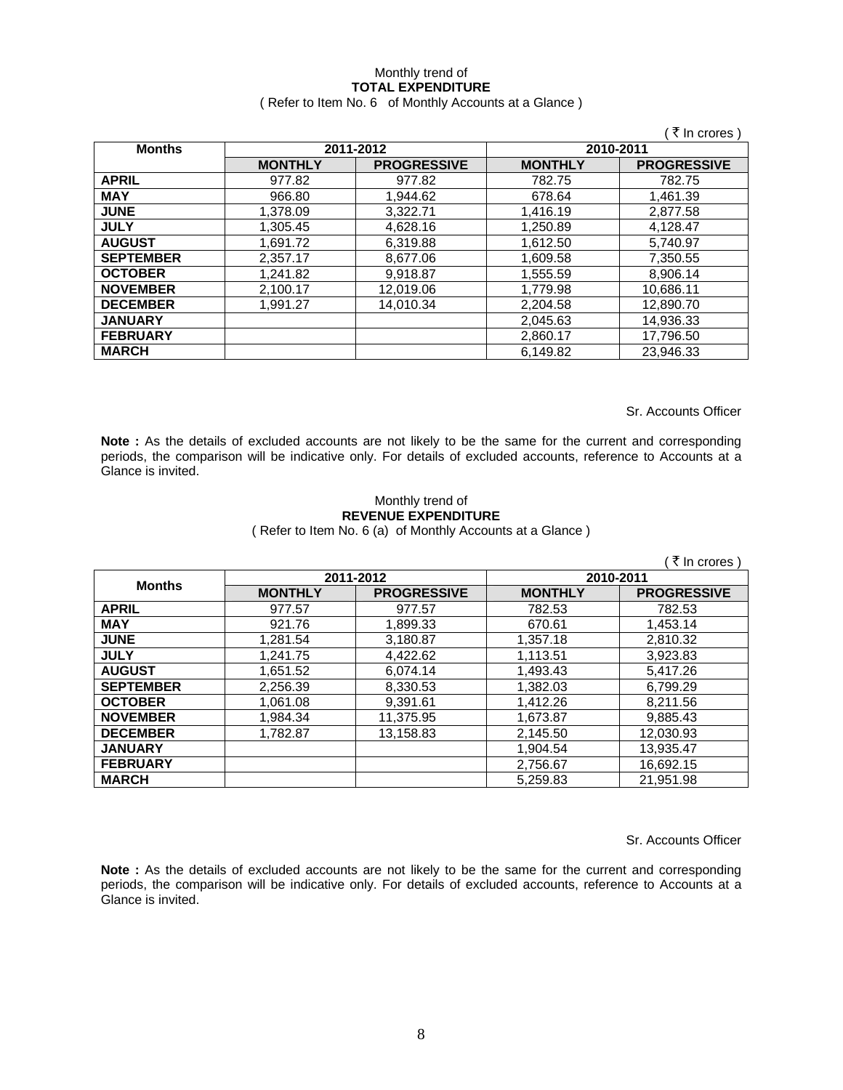## Monthly trend of **TOTAL EXPENDITURE**

### ( Refer to Item No. 6 of Monthly Accounts at a Glance )

|                  |                        |                    |                | ₹ In crores        |
|------------------|------------------------|--------------------|----------------|--------------------|
| <b>Months</b>    | 2011-2012<br>2010-2011 |                    |                |                    |
|                  | <b>MONTHLY</b>         | <b>PROGRESSIVE</b> | <b>MONTHLY</b> | <b>PROGRESSIVE</b> |
| <b>APRIL</b>     | 977.82                 | 977.82             | 782.75         | 782.75             |
| <b>MAY</b>       | 966.80                 | 1.944.62           | 678.64         | 1.461.39           |
| <b>JUNE</b>      | 1,378.09               | 3,322.71           | 1,416.19       | 2,877.58           |
| <b>JULY</b>      | 1,305.45               | 4,628.16           | 1,250.89       | 4,128.47           |
| <b>AUGUST</b>    | 1,691.72               | 6,319.88           | 1,612.50       | 5,740.97           |
| <b>SEPTEMBER</b> | 2,357.17               | 8,677.06           | 1,609.58       | 7,350.55           |
| <b>OCTOBER</b>   | 1,241.82               | 9,918.87           | 1,555.59       | 8,906.14           |
| <b>NOVEMBER</b>  | 2,100.17               | 12,019.06          | 1,779.98       | 10,686.11          |
| <b>DECEMBER</b>  | 1,991.27               | 14.010.34          | 2,204.58       | 12,890.70          |
| <b>JANUARY</b>   |                        |                    | 2,045.63       | 14,936.33          |
| <b>FEBRUARY</b>  |                        |                    | 2,860.17       | 17,796.50          |
| <b>MARCH</b>     |                        |                    | 6,149.82       | 23,946.33          |

Sr. Accounts Officer

**Note :** As the details of excluded accounts are not likely to be the same for the current and corresponding periods, the comparison will be indicative only. For details of excluded accounts, reference to Accounts at a Glance is invited.

#### Monthly trend of **REVENUE EXPENDITURE**  ( Refer to Item No. 6 (a) of Monthly Accounts at a Glance )

|                  |                |                    |                | ₹ In crores )      |
|------------------|----------------|--------------------|----------------|--------------------|
| <b>Months</b>    | 2011-2012      |                    | 2010-2011      |                    |
|                  | <b>MONTHLY</b> | <b>PROGRESSIVE</b> | <b>MONTHLY</b> | <b>PROGRESSIVE</b> |
| <b>APRIL</b>     | 977.57         | 977.57             | 782.53         | 782.53             |
| <b>MAY</b>       | 921.76         | 1,899.33           | 670.61         | 1,453.14           |
| <b>JUNE</b>      | 1,281.54       | 3,180.87           | 1,357.18       | 2,810.32           |
| <b>JULY</b>      | 1.241.75       | 4,422.62           | 1,113.51       | 3,923.83           |
| <b>AUGUST</b>    | 1,651.52       | 6,074.14           | 1.493.43       | 5.417.26           |
| <b>SEPTEMBER</b> | 2,256.39       | 8,330.53           | 1.382.03       | 6,799.29           |
| <b>OCTOBER</b>   | 1,061.08       | 9,391.61           | 1,412.26       | 8,211.56           |
| <b>NOVEMBER</b>  | 1,984.34       | 11,375.95          | 1,673.87       | 9,885.43           |
| <b>DECEMBER</b>  | 1.782.87       | 13,158.83          | 2,145.50       | 12,030.93          |
| <b>JANUARY</b>   |                |                    | 1.904.54       | 13,935.47          |
| <b>FEBRUARY</b>  |                |                    | 2,756.67       | 16,692.15          |
| <b>MARCH</b>     |                |                    | 5.259.83       | 21.951.98          |

Sr. Accounts Officer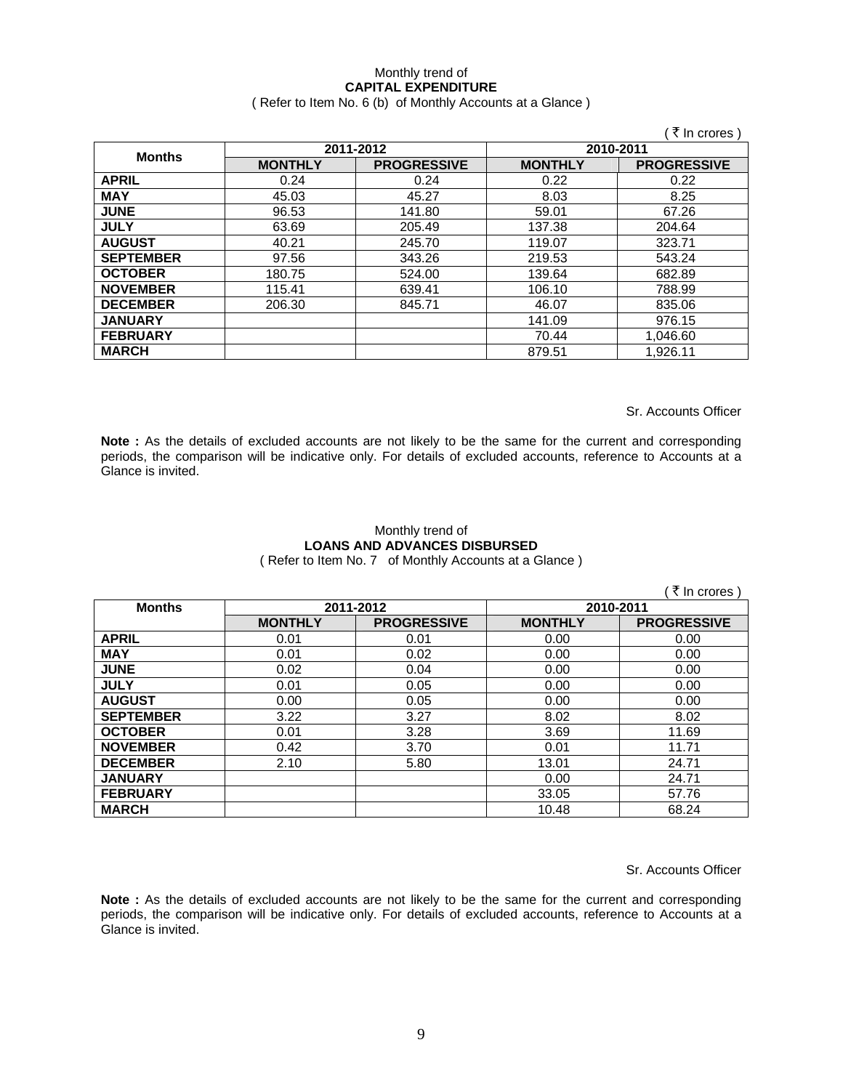## Monthly trend of **CAPITAL EXPENDITURE**

( Refer to Item No. 6 (b) of Monthly Accounts at a Glance )

|                  |                |                    |                | ( ₹ In crores )    |
|------------------|----------------|--------------------|----------------|--------------------|
| <b>Months</b>    | 2011-2012      |                    | 2010-2011      |                    |
|                  | <b>MONTHLY</b> | <b>PROGRESSIVE</b> | <b>MONTHLY</b> | <b>PROGRESSIVE</b> |
| <b>APRIL</b>     | 0.24           | 0.24               | 0.22           | 0.22               |
| <b>MAY</b>       | 45.03          | 45.27              | 8.03           | 8.25               |
| <b>JUNE</b>      | 96.53          | 141.80             | 59.01          | 67.26              |
| <b>JULY</b>      | 63.69          | 205.49             | 137.38         | 204.64             |
| <b>AUGUST</b>    | 40.21          | 245.70             | 119.07         | 323.71             |
| <b>SEPTEMBER</b> | 97.56          | 343.26             | 219.53         | 543.24             |
| <b>OCTOBER</b>   | 180.75         | 524.00             | 139.64         | 682.89             |
| <b>NOVEMBER</b>  | 115.41         | 639.41             | 106.10         | 788.99             |
| <b>DECEMBER</b>  | 206.30         | 845.71             | 46.07          | 835.06             |
| <b>JANUARY</b>   |                |                    | 141.09         | 976.15             |
| <b>FEBRUARY</b>  |                |                    | 70.44          | 1,046.60           |
| <b>MARCH</b>     |                |                    | 879.51         | 1,926.11           |

Sr. Accounts Officer

**Note :** As the details of excluded accounts are not likely to be the same for the current and corresponding periods, the comparison will be indicative only. For details of excluded accounts, reference to Accounts at a Glance is invited.

## Monthly trend of **LOANS AND ADVANCES DISBURSED**

( Refer to Item No. 7 of Monthly Accounts at a Glance )

|                  |                |                    |                | ्रे In crores )    |
|------------------|----------------|--------------------|----------------|--------------------|
| <b>Months</b>    | 2011-2012      |                    | 2010-2011      |                    |
|                  | <b>MONTHLY</b> | <b>PROGRESSIVE</b> | <b>MONTHLY</b> | <b>PROGRESSIVE</b> |
| <b>APRIL</b>     | 0.01           | 0.01               | 0.00           | 0.00               |
| <b>MAY</b>       | 0.01           | 0.02               | 0.00           | 0.00               |
| <b>JUNE</b>      | 0.02           | 0.04               | 0.00           | 0.00               |
| <b>JULY</b>      | 0.01           | 0.05               | 0.00           | 0.00               |
| <b>AUGUST</b>    | 0.00           | 0.05               | 0.00           | 0.00               |
| <b>SEPTEMBER</b> | 3.22           | 3.27               | 8.02           | 8.02               |
| <b>OCTOBER</b>   | 0.01           | 3.28               | 3.69           | 11.69              |
| <b>NOVEMBER</b>  | 0.42           | 3.70               | 0.01           | 11.71              |
| <b>DECEMBER</b>  | 2.10           | 5.80               | 13.01          | 24.71              |
| <b>JANUARY</b>   |                |                    | 0.00           | 24.71              |
| <b>FEBRUARY</b>  |                |                    | 33.05          | 57.76              |
| <b>MARCH</b>     |                |                    | 10.48          | 68.24              |

Sr. Accounts Officer